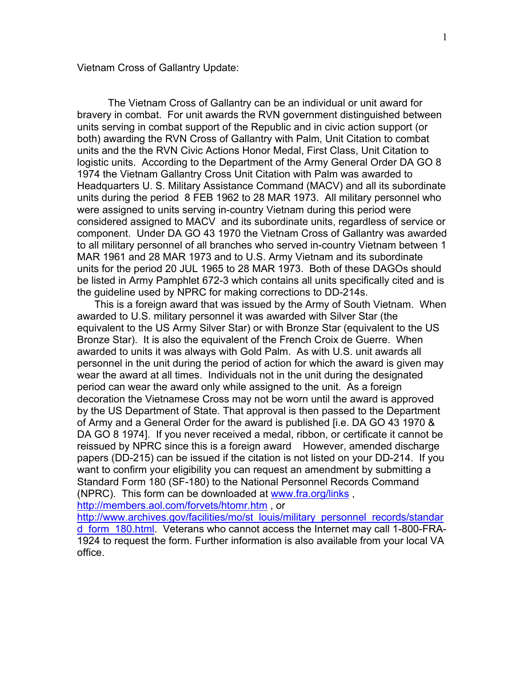Vietnam Cross of Gallantry Update:

The Vietnam Cross of Gallantry can be an individual or unit award for bravery in combat. For unit awards the RVN government distinguished between units serving in combat support of the Republic and in civic action support (or both) awarding the RVN Cross of Gallantry with Palm, Unit Citation to combat units and the the RVN Civic Actions Honor Medal, First Class, Unit Citation to logistic units. According to the Department of the Army General Order DA GO 8 1974 the Vietnam Gallantry Cross Unit Citation with Palm was awarded to Headquarters U. S. Military Assistance Command (MACV) and all its subordinate units during the period 8 FEB 1962 to 28 MAR 1973. All military personnel who were assigned to units serving in-country Vietnam during this period were considered assigned to MACV and its subordinate units, regardless of service or component. Under DA GO 43 1970 the Vietnam Cross of Gallantry was awarded to all military personnel of all branches who served in-country Vietnam between 1 MAR 1961 and 28 MAR 1973 and to U.S. Army Vietnam and its subordinate units for the period 20 JUL 1965 to 28 MAR 1973. Both of these DAGOs should be listed in Army Pamphlet 672-3 which contains all units specifically cited and is the guideline used by NPRC for making corrections to DD-214s.

 This is a foreign award that was issued by the Army of South Vietnam. When awarded to U.S. military personnel it was awarded with Silver Star (the equivalent to the US Army Silver Star) or with Bronze Star (equivalent to the US Bronze Star). It is also the equivalent of the French Croix de Guerre. When awarded to units it was always with Gold Palm. As with U.S. unit awards all personnel in the unit during the period of action for which the award is given may wear the award at all times. Individuals not in the unit during the designated period can wear the award only while assigned to the unit. As a foreign decoration the Vietnamese Cross may not be worn until the award is approved by the US Department of State. That approval is then passed to the Department of Army and a General Order for the award is published [i.e. DA GO 43 1970 & DA GO 8 1974]. If you never received a medal, ribbon, or certificate it cannot be reissued by NPRC since this is a foreign award However, amended discharge papers (DD-215) can be issued if the citation is not listed on your DD-214. If you want to confirm your eligibility you can request an amendment by submitting a Standard Form 180 (SF-180) to the National Personnel Records Command (NPRC). This form can be downloaded at [www.fra.org/links](http://www.fra.org/links) ,

<http://members.aol.com/forvets/htomr.htm> , or

[http://www.archives.gov/facilities/mo/st\\_louis/military\\_personnel\\_records/standar](http://www.archives.gov/facilities/mo/st_louis/military_personnel_records/standard_form_180.html) d form 180.html. Veterans who cannot access the Internet may call 1-800-FRA-1924 to request the form. Further information is also available from your local VA office.